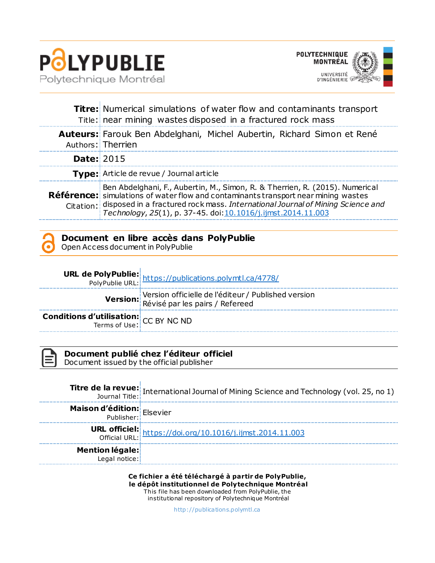

Ŷ.



|                   | <b>Titre:</b> Numerical simulations of water flow and contaminants transport<br>Title: near mining wastes disposed in a fractured rock mass                                                                                                                                                                                            |
|-------------------|----------------------------------------------------------------------------------------------------------------------------------------------------------------------------------------------------------------------------------------------------------------------------------------------------------------------------------------|
|                   | Auteurs: Farouk Ben Abdelghani, Michel Aubertin, Richard Simon et René<br>Authors: Therrien                                                                                                                                                                                                                                            |
| <b>Date: 2015</b> |                                                                                                                                                                                                                                                                                                                                        |
|                   | <b>Type:</b> Article de revue / Journal article                                                                                                                                                                                                                                                                                        |
|                   | Ben Abdelghani, F., Aubertin, M., Simon, R. & Therrien, R. (2015). Numerical<br><b>Référence:</b> simulations of water flow and contaminants transport near mining wastes<br>Citation: disposed in a fractured rock mass. International Journal of Mining Science and<br>Technology, 25(1), p. 37-45. doi: 10.1016/j.ijmst.2014.11.003 |

| Document en libre accès dans PolyPublie |  |  |  |  |  |  |
|-----------------------------------------|--|--|--|--|--|--|
|-----------------------------------------|--|--|--|--|--|--|

Open Access document in PolyPublie

|                                                              | <b>URL de PolyPublie:</b><br>PolyPublie URL: https://publications.polymtl.ca/4778/     |
|--------------------------------------------------------------|----------------------------------------------------------------------------------------|
|                                                              | Version officielle de l'éditeur / Published version<br>Révisé par les pairs / Refereed |
| <b>Conditions d'utilisation:</b> $CC$ BY NC ND Terms of Use: |                                                                                        |

**Document publié chez l'éditeur officiel**

Document issued by the official publisher

|                                  | <b>Titre de la revue:</b> International Journal of Mining Science and Technology (vol. 25, no 1)<br>Journal Title: |
|----------------------------------|--------------------------------------------------------------------------------------------------------------------|
| Maison d'édition: Elsevier       |                                                                                                                    |
|                                  | URL officiel: https://doi.org/10.1016/j.ijmst.2014.11.003                                                          |
| Mention légale:<br>Legal notice: |                                                                                                                    |

**Ce fichier a été téléchargé à partir de PolyPublie, le dépôt institutionnel de Polytechnique Montréal** This file has been downloaded from PolyPublie, the institutional repository of Polytechnique Montréal

[http://publica tions.polymtl.ca](http://publications.polymtl.ca/)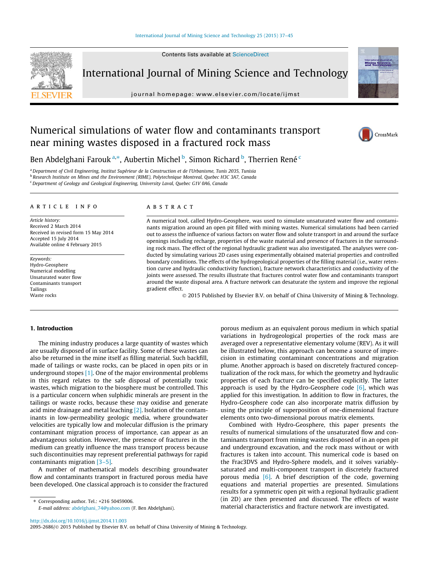Contents lists available at [ScienceDirect](http://www.sciencedirect.com/science/journal/20952686)



International Journal of Mining Science and Technology

journal homepage: [www.elsevier.com/locate/ijmst](http://www.elsevier.com/locate/ijmst)



# Numerical simulations of water flow and contaminants transport near mining wastes disposed in a fractured rock mass



Ben Abdelghani Farouk<sup>a,</sup>\*, Aubertin Michel <sup>b</sup>, Simon Richard <sup>b</sup>, Therrien René <sup>c</sup>

<sup>a</sup>Department of Civil Engineering, Institut Supérieur de la Construction et de l'Urbanisme, Tunis 2035, Tunisia <sup>b</sup> Research Institute on Mines and the Environment (RIME), Polytechnique Montreal, Quebec H3C 3A7, Canada <sup>c</sup> Department of Geology and Geological Engineering, University Laval, Quebec G1V 0A6, Canada

article info

Article history: Received 2 March 2014 Received in revised form 15 May 2014 Accepted 15 July 2014 Available online 4 February 2015

Keywords: Hydro-Geosphere Numerical modelling Unsaturated water flow Contaminants transport Tailings Waste rocks

# **ABSTRACT**

A numerical tool, called Hydro-Geosphere, was used to simulate unsaturated water flow and contaminants migration around an open pit filled with mining wastes. Numerical simulations had been carried out to assess the influence of various factors on water flow and solute transport in and around the surface openings including recharge, properties of the waste material and presence of fractures in the surrounding rock mass. The effect of the regional hydraulic gradient was also investigated. The analyses were conducted by simulating various 2D cases using experimentally obtained material properties and controlled boundary conditions. The effects of the hydrogeological properties of the filling material (i.e., water retention curve and hydraulic conductivity function), fracture network characteristics and conductivity of the joints were assessed. The results illustrate that fractures control water flow and contaminants transport around the waste disposal area. A fracture network can desaturate the system and improve the regional gradient effect.

© 2015 Published by Elsevier B.V. on behalf of China University of Mining & Technology.

## 1. Introduction

The mining industry produces a large quantity of wastes which are usually disposed of in surface facility. Some of these wastes can also be returned in the mine itself as filling material. Such backfill, made of tailings or waste rocks, can be placed in open pits or in underground stopes [\[1\].](#page-8-0) One of the major environmental problems in this regard relates to the safe disposal of potentially toxic wastes, which migration to the biosphere must be controlled. This is a particular concern when sulphidic minerals are present in the tailings or waste rocks, because these may oxidise and generate acid mine drainage and metal leaching [\[2\].](#page-8-0) Isolation of the contaminants in low-permeability geologic media, where groundwater velocities are typically low and molecular diffusion is the primary contaminant migration process of importance, can appear as an advantageous solution. However, the presence of fractures in the medium can greatly influence the mass transport process because such discontinuities may represent preferential pathways for rapid contaminants migration [\[3–5\].](#page-8-0)

A number of mathematical models describing groundwater flow and contaminants transport in fractured porous media have been developed. One classical approach is to consider the fractured

⇑ Corresponding author. Tel.: +216 50459006.

E-mail address: [abdelghani\\_74@yahoo.com](mailto:abdelghani_74@yahoo.com) (F. Ben Abdelghani).

porous medium as an equivalent porous medium in which spatial variations in hydrogeological properties of the rock mass are averaged over a representative elementary volume (REV). As it will be illustrated below, this approach can become a source of imprecision in estimating contaminant concentrations and migration plume. Another approach is based on discretely fractured conceptualization of the rock mass, for which the geometry and hydraulic properties of each fracture can be specified explicitly. The latter approach is used by the Hydro-Geosphere code  $[6]$ , which was applied for this investigation. In addition to flow in fractures, the Hydro-Geosphere code can also incorporate matrix diffusion by using the principle of superposition of one-dimensional fracture elements onto two-dimensional porous matrix elements.

Combined with Hydro-Geosphere, this paper presents the results of numerical simulations of the unsaturated flow and contaminants transport from mining wastes disposed of in an open pit and underground excavation, and the rock mass without or with fractures is taken into account. This numerical code is based on the Frac3DVS and Hydro-Sphere models, and it solves variablysaturated and multi-component transport in discretely fractured porous media [\[6\].](#page-9-0) A brief description of the code, governing equations and material properties are presented. Simulations results for a symmetric open pit with a regional hydraulic gradient (in 2D) are then presented and discussed. The effects of waste material characteristics and fracture network are investigated.

<http://dx.doi.org/10.1016/j.ijmst.2014.11.003>

2095-2686/© 2015 Published by Elsevier B.V. on behalf of China University of Mining & Technology.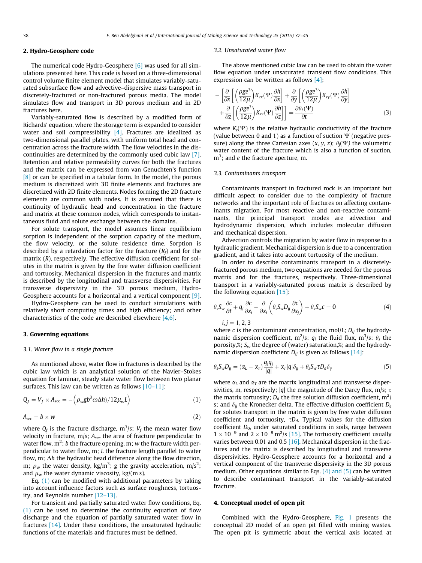# 2. Hydro-Geosphere code

The numerical code Hydro-Geosphere [\[6\]](#page-9-0) was used for all simulations presented here. This code is based on a three-dimensional control volume finite element model that simulates variably-saturated subsurface flow and advective–dispersive mass transport in discretely-fractured or non-fractured porous media. The model simulates flow and transport in 3D porous medium and in 2D fractures here.

Variably-saturated flow is described by a modified form of Richards' equation, where the storage term is expanded to consider water and soil compressibility [\[4\].](#page-8-0) Fractures are idealized as two-dimensional parallel plates, with uniform total head and concentration across the fracture width. The flow velocities in the discontinuities are determined by the commonly used cubic law [\[7\].](#page-9-0) Retention and relative permeability curves for both the fractures and the matrix can be expressed from van Genuchten's function [\[8\]](#page-9-0) or can be specified in a tabular form. In the model, the porous medium is discretized with 3D finite elements and fractures are discretized with 2D finite elements. Nodes forming the 2D fracture elements are common with nodes. It is assumed that there is continuity of hydraulic head and concentration in the fracture and matrix at these common nodes, which corresponds to instantaneous fluid and solute exchange between the domains.

For solute transport, the model assumes linear equilibrium sorption is independent of the sorption capacity of the medium, the flow velocity, or the solute residence time. Sorption is described by a retardation factor for the fracture  $(R_f)$  and for the matrix (R), respectively. The effective diffusion coefficient for solutes in the matrix is given by the free water diffusion coefficient and tortuosity. Mechanical dispersion in the fractures and matrix is described by the longitudinal and transverse dispersivities. For transverse dispersivity in the 3D porous medium, Hydro-Geosphere accounts for a horizontal and a vertical component [\[9\].](#page-9-0)

Hydro-Geosphere can be used to conduct simulations with relatively short computing times and high efficiency; and other characteristics of the code are described elsewhere [\[4,6\].](#page-8-0)

# 3. Governing equations

## 3.1. Water flow in a single fracture

As mentioned above, water flow in fractures is described by the cubic law which is an analytical solution of the Navier–Stokes equation for laminar, steady state water flow between two planar surfaces. This law can be written as follows [\[10–11\]](#page-9-0):

$$
Q_f = V_f \times A_{\rm sec} = -\left(\rho_w g b^3 \omega \Delta h / 12 \mu_w L\right) \tag{1}
$$

$$
A_{\text{sec}} = b \times w \tag{2}
$$

where  $Q_f$  is the fracture discharge,  $m^3/s$ ;  $V_f$  the mean water flow velocity in fracture, m/s;  $A_{\text{sec}}$  the area of fracture perpendicular to water flow,  $m^2$ ; b the fracture opening, m; w the fracture width perpendicular to water flow, m; L the fracture length parallel to water flow, m;  $\Delta h$  the hydraulic head difference along the flow direction, m;  $\rho_w$  the water density, kg/m<sup>3</sup>; g the gravity acceleration, m/s<sup>2</sup>; and  $\mu_w$  the water dynamic viscosity, kg/(m s).

Eq. (1) can be modified with additional parameters by taking into account influence factors such as surface roughness, tortuosity, and Reynolds number [\[12–13\]](#page-9-0).

For transient and partially saturated water flow conditions, Eq. (1) can be used to determine the continuity equation of flow discharge and the equation of partially saturated water flow in fractures [\[14\].](#page-9-0) Under these conditions, the unsaturated hydraulic functions of the materials and fractures must be defined.

#### 3.2. Unsaturated water flow

The above mentioned cubic law can be used to obtain the water flow equation under unsaturated transient flow conditions. This expression can be written as follows [\[4\]](#page-8-0);

$$
-\left[\frac{\partial}{\partial x}\left[\left(\frac{\rho ge^{3}}{12\mu}\right)K_{rx}(\Psi)\frac{\partial h}{\partial x}\right]+\frac{\partial}{\partial y}\left[\left(\frac{\rho ge^{3}}{12\mu}\right)K_{ry}(\Psi)\frac{\partial h}{\partial y}\right]\right.+\frac{\partial}{\partial z}\left[\left(\frac{\rho ge^{3}}{12\mu}\right)K_{rz}(\Psi)\frac{\partial h}{\partial z}\right]\right]=\frac{\partial\theta_{f}(\Psi)}{\partial t}
$$
(3)

where  $K_r(\Psi)$  is the relative hydraulic conductivity of the fracture (value between 0 and 1) as a function of suction  $\Psi$  (negative pressure) along the three Cartesian axes  $(x, y, z)$ ;  $\theta_t(\Psi)$  the volumetric water content of the fracture which is also a function of suction,  $m<sup>3</sup>$ ; and e the fracture aperture, m.

#### 3.3. Contaminants transport

Contaminants transport in fractured rock is an important but difficult aspect to consider due to the complexity of fracture networks and the important role of fractures on affecting contaminants migration. For most reactive and non-reactive contaminants, the principal transport modes are advection and hydrodynamic dispersion, which includes molecular diffusion and mechanical dispersion.

Advection controls the migration by water flow in response to a hydraulic gradient. Mechanical dispersion is due to a concentration gradient, and it takes into account tortuosity of the medium.

In order to describe contaminants transport in a discretelyfractured porous medium, two equations are needed for the porous matrix and for the fractures, respectively. Three-dimensional transport in a variably-saturated porous matrix is described by the following equation  $[15]$ :

$$
\theta_s S_w \frac{\partial c}{\partial t} + q_i \frac{\partial c}{\partial x_i} - \frac{\partial}{\partial x_i} \left( \theta_s S_w D_{ij} \frac{\partial c}{\partial x_j} \right) + \theta_s S_w c = 0 \tag{4}
$$

 $i, j = 1, 2, 3$ 

where c is the contaminant concentration, mol/L;  $D_{ii}$  the hydrodynamic dispersion coefficient,  $m^2/s$ ;  $q_i$  the fluid flux,  $m^3/s$ ;  $\theta_s$  the porosity,%;  $S_w$  the degree of (water) saturation,%; and the hydrodynamic dispersion coefficient  $D_{ii}$  is given as follows [\[14\]:](#page-9-0)

$$
\theta_s S_w D_{ij} = (\alpha_L - \alpha_T) \frac{q_i q_j}{|q|} + \alpha_T |q| \delta_{ij} + \theta_s S_w \tau D_d \delta_{ij}
$$
(5)

where  $\alpha_L$  and  $\alpha_T$  are the matrix longitudinal and transverse dispersivities, m, respectively; |q| the magnitude of the Darcy flux, m/s;  $\tau$ the matrix tortuosity;  $D_d$  the free solution diffusion coefficient,  $m^2$ / s; and  $\delta_{ij}$  the Kronecker delta. The effective diffusion coefficient  $D_e$ for solutes transport in the matrix is given by free water diffusion coefficient and tortuosity,  $\tau D_d$ . Typical values for the diffusion coefficient  $D_0$ , under saturated conditions in soils, range between  $1 \times 10^{-9}$  and  $2 \times 10^{-9}$  m<sup>2</sup>/s [\[15\]](#page-9-0). The tortuosity coefficient usually varies between 0.01 and 0.5  $[16]$ . Mechanical dispersion in the fractures and the matrix is described by longitudinal and transverse dispersivities. Hydro-Geosphere accounts for a horizontal and a vertical component of the transverse dispersivity in the 3D porous medium. Other equations similar to Eqs.  $(4)$  and  $(5)$  can be written to describe contaminant transport in the variably-saturated fracture.

## 4. Conceptual model of open pit

Combined with the Hydro-Geosphere, [Fig. 1](#page-3-0) presents the conceptual 2D model of an open pit filled with mining wastes. The open pit is symmetric about the vertical axis located at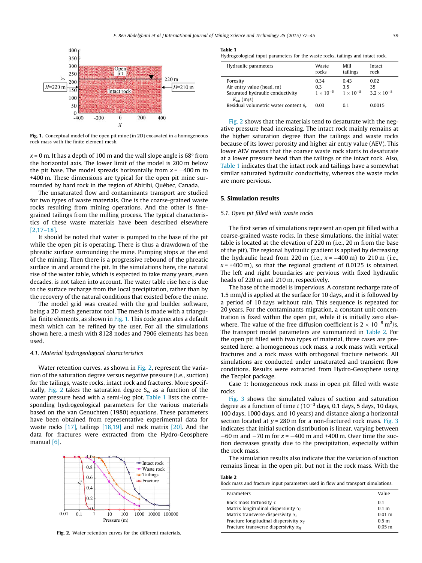<span id="page-3-0"></span>

Fig. 1. Conceptual model of the open pit mine (in 2D) excavated in a homogeneous rock mass with the finite element mesh.

 $x = 0$  m. It has a depth of 100 m and the wall slope angle is 68 $\degree$  from the horizontal axis. The lower limit of the model is 200 m below the pit base. The model spreads horizontally from  $x = -400$  m to +400 m. These dimensions are typical for the open pit mine surrounded by hard rock in the region of Abitibi, Québec, Canada.

The unsaturated flow and contaminants transport are studied for two types of waste materials. One is the coarse-grained waste rocks resulting from mining operations. And the other is finegrained tailings from the milling process. The typical characteristics of these waste materials have been described elsewhere [\[2,17–18\].](#page-8-0)

It should be noted that water is pumped to the base of the pit while the open pit is operating. There is thus a drawdown of the phreatic surface surrounding the mine. Pumping stops at the end of the mining. Then there is a progressive rebound of the phreatic surface in and around the pit. In the simulations here, the natural rise of the water table, which is expected to take many years, even decades, is not taken into account. The water table rise here is due to the surface recharge from the local precipitation, rather than by the recovery of the natural conditions that existed before the mine.

The model grid was created with the grid builder software, being a 2D mesh generator tool. The mesh is made with a triangular finite elements, as shown in Fig. 1. This code generates a default mesh which can be refined by the user. For all the simulations shown here, a mesh with 8128 nodes and 7906 elements has been used.

#### 4.1. Material hydrogeological characteristics

Water retention curves, as shown in Fig. 2, represent the variation of the saturation degree versus negative pressure (i.e., suction) for the tailings, waste rocks, intact rock and fractures. More specifically, Fig. 2 takes the saturation degree  $S_w$  as a function of the water pressure head with a semi-log plot. Table 1 lists the corresponding hydrogeological parameters for the various materials based on the van Genuchten (1980) equations. These parameters have been obtained from representative experimental data for waste rocks  $[17]$ , tailings  $[18,19]$  and rock matrix  $[20]$ . And the data for fractures were extracted from the Hydro-Geosphere manual [\[6\]](#page-9-0).



Fig. 2. Water retention curves for the different materials.

|  |  | Hydrogeological input parameters for the waste rocks, tailings and intact rock. |  |  |  |  |
|--|--|---------------------------------------------------------------------------------|--|--|--|--|
|  |  |                                                                                 |  |  |  |  |

| Hydraulic parameters                                                                                | Waste<br>rocks                   | Mill<br>tailings                 | Intact<br>rock                     |
|-----------------------------------------------------------------------------------------------------|----------------------------------|----------------------------------|------------------------------------|
| Porosity<br>Air entry value (head, m)<br>Saturated hydraulic conductivity<br>$K_{\text{sat}}$ (m/s) | 0.34<br>03<br>$1 \times 10^{-5}$ | 0.43<br>35<br>$1 \times 10^{-8}$ | 0.02<br>35<br>$3.2 \times 10^{-8}$ |
| Residual volumetric water content $\theta_r$                                                        | 0.03                             | 0.1                              | 0.0015                             |

Fig. 2 shows that the materials tend to desaturate with the negative pressure head increasing. The intact rock mainly remains at the higher saturation degree than the tailings and waste rocks because of its lower porosity and higher air entry value (AEV). This lower AEV means that the coarser waste rock starts to desaturate at a lower pressure head than the tailings or the intact rock. Also, Table 1 indicates that the intact rock and tailings have a somewhat similar saturated hydraulic conductivity, whereas the waste rocks are more pervious.

#### 5. Simulation results

#### 5.1. Open pit filled with waste rocks

The first series of simulations represent an open pit filled with a coarse-grained waste rocks. In these simulations, the initial water table is located at the elevation of 220 m (i.e., 20 m from the base of the pit). The regional hydraulic gradient is applied by decreasing the hydraulic head from 220 m (i.e.,  $x = -400$  m) to 210 m (i.e.,  $x = +400$  m), so that the regional gradient of 0.0125 is obtained. The left and right boundaries are pervious with fixed hydraulic heads of 220 m and 210 m, respectively.

The base of the model is impervious. A constant recharge rate of 1.5 mm/d is applied at the surface for 10 days, and it is followed by a period of 10 days without rain. This sequence is repeated for 20 years. For the contaminants migration, a constant unit concentration is fixed within the open pit, while it is initially zero elsewhere. The value of the free diffusion coefficient is  $2 \times 10^{-9}$  m<sup>2</sup>/s. The transport model parameters are summarized in Table 2. For the open pit filled with two types of material, three cases are presented here: a homogeneous rock mass, a rock mass with vertical fractures and a rock mass with orthogonal fracture network. All simulations are conducted under unsaturated and transient flow conditions. Results were extracted from Hydro-Geosphere using the Tecplot package.

Case 1: homogeneous rock mass in open pit filled with waste rocks

[Fig. 3](#page-4-0) shows the simulated values of suction and saturation degree as a function of time  $t$  (10<sup>-3</sup> days, 0.1 days, 5 days, 10 days, 100 days, 1000 days, and 10 years) and distance along a horizontal section located at  $y = 280$  m for a non-fractured rock mass. [Fig. 3](#page-4-0) indicates that initial suction distribution is linear, varying between  $-60$  m and  $-70$  m for  $x = -400$  m and  $+400$  m. Over time the suction decreases greatly due to the precipitation, especially within the rock mass.

The simulation results also indicate that the variation of suction remains linear in the open pit, but not in the rock mass. With the

|--|--|

| Rock mass and fracture input parameters used in flow and transport simulations. |  |  |
|---------------------------------------------------------------------------------|--|--|
|---------------------------------------------------------------------------------|--|--|

| Value             |
|-------------------|
| 0.1               |
| 0.1 <sub>m</sub>  |
| 0.01 m            |
| 0.5 <sub>m</sub>  |
| 0.05 <sub>m</sub> |
|                   |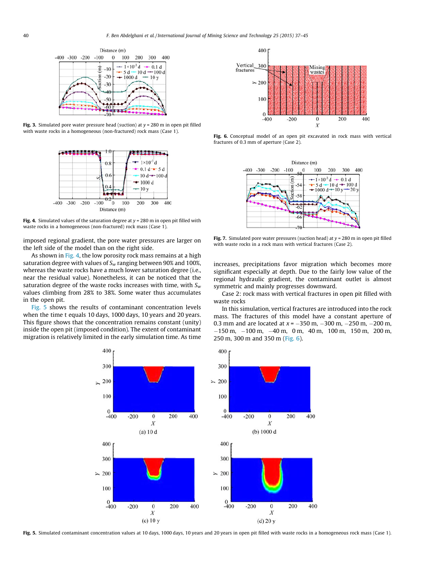<span id="page-4-0"></span>

Fig. 3. Simulated pore water pressure head (suction) at  $y = 280$  m in open pit filled with waste rocks in a homogeneous (non-fractured) rock mass (Case 1).



Fig. 4. Simulated values of the saturation degree at  $y = 280$  m in open pit filled with waste rocks in a homogeneous (non-fractured) rock mass (Case 1).

imposed regional gradient, the pore water pressures are larger on the left side of the model than on the right side.

As shown in Fig. 4, the low porosity rock mass remains at a high saturation degree with values of  $S_w$  ranging between 90% and 100%, whereas the waste rocks have a much lower saturation degree (i.e., near the residual value). Nonetheless, it can be noticed that the saturation degree of the waste rocks increases with time, with  $S_w$ values climbing from 28% to 38%. Some water thus accumulates in the open pit.

Fig. 5 shows the results of contaminant concentration levels when the time t equals 10 days, 1000 days, 10 years and 20 years. This figure shows that the concentration remains constant (unity) inside the open pit (imposed condition). The extent of contaminant migration is relatively limited in the early simulation time. As time



Fig. 6. Conceptual model of an open pit excavated in rock mass with vertical fractures of 0.3 mm of aperture (Case 2).



Fig. 7. Simulated pore water pressures (suction head) at  $y = 280$  m in open pit filled with waste rocks in a rock mass with vertical fractures (Case 2).

increases, precipitations favor migration which becomes more significant especially at depth. Due to the fairly low value of the regional hydraulic gradient, the contaminant outlet is almost symmetric and mainly progresses downward.

Case 2: rock mass with vertical fractures in open pit filled with waste rocks

In this simulation, vertical fractures are introduced into the rock mass. The fractures of this model have a constant aperture of 0.3 mm and are located at  $x = -350$  m,  $-300$  m,  $-250$  m,  $-200$  m,  $-150$  m,  $-100$  m,  $-40$  m, 0 m, 40 m, 100 m, 150 m, 200 m, 250 m, 300 m and 350 m (Fig. 6).



Fig. 5. Simulated contaminant concentration values at 10 days, 1000 days, 10 years and 20 years in open pit filled with waste rocks in a homogeneous rock mass (Case 1).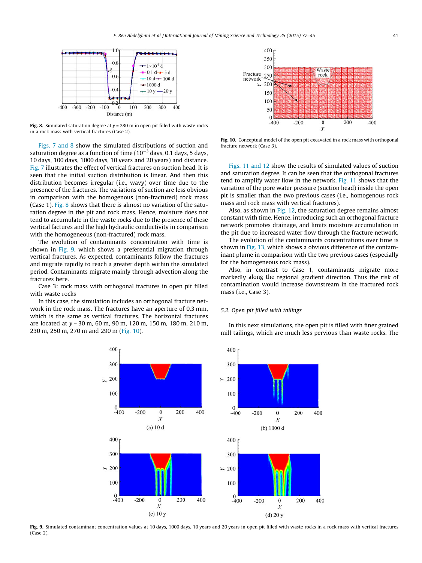<span id="page-5-0"></span>

Fig. 8. Simulated saturation degree at  $v = 280$  m in open pit filled with waste rocks in a rock mass with vertical fractures (Case 2).

[Figs. 7 and 8](#page-4-0) show the simulated distributions of suction and saturation degree as a function of time  $(10^{-3}$  days, 0.1 days, 5 days, 10 days, 100 days, 1000 days, 10 years and 20 years) and distance. [Fig. 7](#page-4-0) illustrates the effect of vertical fractures on suction head. It is seen that the initial suction distribution is linear. And then this distribution becomes irregular (i.e., wavy) over time due to the presence of the fractures. The variations of suction are less obvious in comparison with the homogenous (non-fractured) rock mass (Case 1). Fig. 8 shows that there is almost no variation of the saturation degree in the pit and rock mass. Hence, moisture does not tend to accumulate in the waste rocks due to the presence of these vertical factures and the high hydraulic conductivity in comparison with the homogeneous (non-fractured) rock mass.

The evolution of contaminants concentration with time is shown in Fig. 9, which shows a preferential migration through vertical fractures. As expected, contaminants follow the fractures and migrate rapidly to reach a greater depth within the simulated period. Contaminants migrate mainly through advection along the fractures here.

Case 3: rock mass with orthogonal fractures in open pit filled with waste rocks

In this case, the simulation includes an orthogonal fracture network in the rock mass. The fractures have an aperture of 0.3 mm, which is the same as vertical fractures. The horizontal fractures are located at y = 30 m, 60 m, 90 m, 120 m, 150 m, 180 m, 210 m, 230 m, 250 m, 270 m and 290 m (Fig. 10).



Fig. 10. Conceptual model of the open pit excavated in a rock mass with orthogonal fracture network (Case 3).

[Figs. 11 and 12](#page-6-0) show the results of simulated values of suction and saturation degree. It can be seen that the orthogonal fractures tend to amplify water flow in the network. [Fig. 11](#page-6-0) shows that the variation of the pore water pressure (suction head) inside the open pit is smaller than the two previous cases (i.e., homogenous rock mass and rock mass with vertical fractures).

Also, as shown in [Fig.](#page-6-0) 12, the saturation degree remains almost constant with time. Hence, introducing such an orthogonal fracture network promotes drainage, and limits moisture accumulation in the pit due to increased water flow through the fracture network.

The evolution of the contaminants concentrations over time is shown in [Fig.](#page-6-0) 13, which shows a obvious difference of the contaminant plume in comparison with the two previous cases (especially for the homogeneous rock mass).

Also, in contrast to Case 1, contaminants migrate more markedly along the regional gradient direction. Thus the risk of contamination would increase downstream in the fractured rock mass (i.e., Case 3).

# 5.2. Open pit filled with tailings

In this next simulations, the open pit is filled with finer grained mill tailings, which are much less pervious than waste rocks. The



Fig. 9. Simulated contaminant concentration values at 10 days, 1000 days, 10 years and 20 years in open pit filled with waste rocks in a rock mass with vertical fractures (Case 2).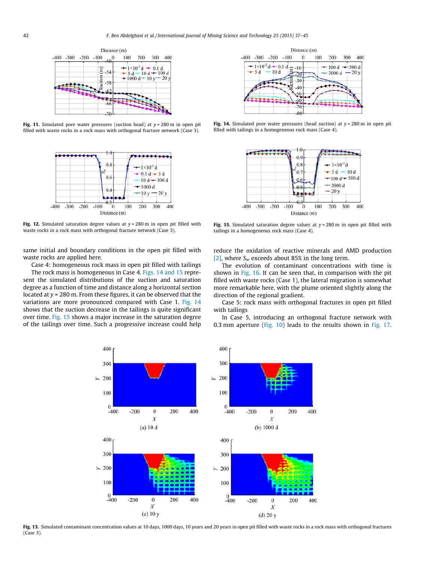<span id="page-6-0"></span>

Fig. 11. Simulated pore water pressures (suction head) at  $y = 280$  m in open pit filled with waste rocks in a rock mass with orthogonal fracture network (Case 3).



Fig. 12. Simulated saturation degree values at  $y = 280$  m in open pit filled with waste rocks in a rock mass with orthogonal fracture network (Case 3).

same initial and boundary conditions in the open pit filled with waste rocks are applied here.

Case 4: homogeneous rock mass in open pit filled with tailings

The rock mass is homogeneous in Case 4. Figs. 14 and 15 represent the simulated distributions of the suction and saturation degree as a function of time and distance along a horizontal section located at  $y = 280$  m. From these figures, it can be observed that the variations are more pronounced compared with Case 1. Fig. 14 shows that the suction decrease in the tailings is quite significant over time. Fig. 15 shows a major increase in the saturation degree of the tailings over time. Such a progressive increase could help



Fig. 14. Simulated pore water pressures (head suction) at  $y = 280$  m in open pit filled with tailings in a homogeneous rock mass (Case 4).



Fig. 15. Simulated saturation degree values at  $y = 280$  m in open pit filled with tailings in a homogeneous rock mass (Case 4).

reduce the oxidation of reactive minerals and AMD production [\[2\]](#page-8-0), where  $S_w$  exceeds about 85% in the long term.

The evolution of contaminant concentrations with time is shown in [Fig.](#page-7-0) 16. It can be seen that, in comparison with the pit filled with waste rocks (Case 1), the lateral migration is somewhat more remarkable here, with the plume oriented slightly along the direction of the regional gradient.

Case 5: rock mass with orthogonal fractures in open pit filled with tailings

In Case 5, introducing an orthogonal fracture network with 0.3 mm aperture ([Fig. 10\)](#page-5-0) leads to the results shown in [Fig. 17.](#page-7-0)



Fig. 13. Simulated contaminant concentration values at 10 days, 1000 days, 10 years and 20 years in open pit filled with waste rocks in a rock mass with orthogonal fractures (Case 3).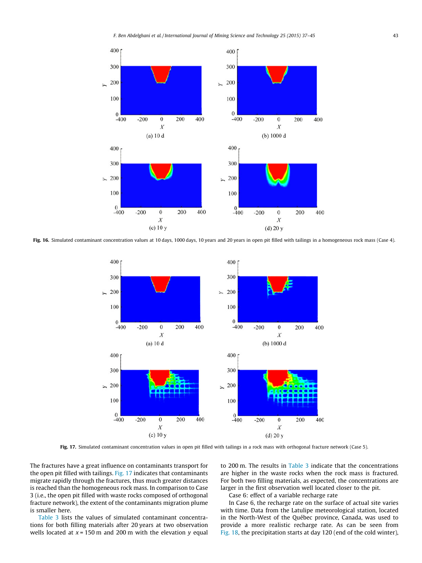<span id="page-7-0"></span>

Fig. 16. Simulated contaminant concentration values at 10 days, 1000 days, 10 years and 20 years in open pit filled with tailings in a homogeneous rock mass (Case 4).



Fig. 17. Simulated contaminant concentration values in open pit filled with tailings in a rock mass with orthogonal fracture network (Case 5).

The fractures have a great influence on contaminants transport for the open pit filled with tailings. Fig. 17 indicates that contaminants migrate rapidly through the fractures, thus much greater distances is reached than the homogeneous rock mass. In comparison to Case 3 (i.e., the open pit filled with waste rocks composed of orthogonal fracture network), the extent of the contaminants migration plume is smaller here.

[Table 3](#page-8-0) lists the values of simulated contaminant concentrations for both filling materials after 20 years at two observation wells located at  $x = 150$  m and 200 m with the elevation y equal to 200 m. The results in [Table 3](#page-8-0) indicate that the concentrations are higher in the waste rocks when the rock mass is fractured. For both two filling materials, as expected, the concentrations are larger in the first observation well located closer to the pit.

Case 6: effect of a variable recharge rate

In Case 6, the recharge rate on the surface of actual site varies with time. Data from the Latulipe meteorological station, located in the North-West of the Québec province, Canada, was used to provide a more realistic recharge rate. As can be seen from [Fig. 18](#page-8-0), the precipitation starts at day 120 (end of the cold winter),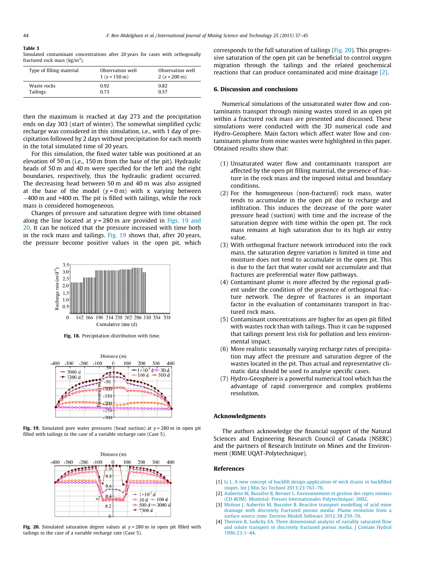#### <span id="page-8-0"></span>Table 3

Simulated contaminant concentrations after 20 years for cases with orthogonally fractured rock mass (kg/m<sup>3</sup>).

| Type of filling material | Observation well<br>$1(x = 150 \text{ m})$ | Observation well<br>$2(x = 200 \text{ m})$ |  |  |
|--------------------------|--------------------------------------------|--------------------------------------------|--|--|
| Waste rocks              | 0.92                                       | 0.82                                       |  |  |
| Tailings                 | 0.73                                       | 0.57                                       |  |  |

then the maximum is reached at day 273 and the precipitation ends on day 303 (start of winter). The somewhat simplified cyclic recharge was considered in this simulation, i.e., with 1 day of precipitation followed by 2 days without precipitation for each month in the total simulated time of 20 years.

For this simulation, the fixed water table was positioned at an elevation of 50 m (i.e., 150 m from the base of the pit). Hydraulic heads of 50 m and 40 m were specified for the left and the right boundaries, respectively, thus the hydraulic gradient occurred. The decreasing head between 50 m and 40 m was also assigned at the base of the model  $(y = 0 \text{ m})$  with x varying between 400 m and +400 m. The pit is filled with tailings, while the rock mass is considered homogeneous.

Changes of pressure and saturation degree with time obtained along the line located at  $y = 280$  m are provided in Figs. 19 and 20. It can be noticed that the pressure increased with time both in the rock mass and tailings. Fig. 19 shows that, after 20 years, the pressure become positive values in the open pit, which



Fig. 18. Precipitation distribution with time.



Fig. 19. Simulated pore water pressures (head suction) at  $y = 280$  m in open pit filled with tailings in the case of a variable recharge rate (Case 5).



Fig. 20. Simulated saturation degree values at  $y = 280$  m in open pit filled with tailings in the case of a variable recharge rate (Case 5).

corresponds to the full saturation of tailings (Fig. 20). This progressive saturation of the open pit can be beneficial to control oxygen migration through the tailings and the related geochemical reactions that can produce contaminated acid mine drainage [2].

# 6. Discussion and conclusions

Numerical simulations of the unsaturated water flow and contaminants transport through mining wastes stored in an open pit within a fractured rock mass are presented and discussed. These simulations were conducted with the 3D numerical code and Hydro-Geosphere. Main factors which affect water flow and contaminants plume from mine wastes were highlighted in this paper. Obtained results show that:

- (1) Unsaturated water flow and contaminants transport are affected by the open pit filling material, the presence of fracture in the rock mass and the imposed initial and boundary conditions.
- (2) For the homogeneous (non-fractured) rock mass, water tends to accumulate in the open pit due to recharge and infiltration. This induces the decrease of the pore water pressure head (suction) with time and the increase of the saturation degree with time within the open pit. The rock mass remains at high saturation due to its high air entry value.
- (3) With orthogonal fracture network introduced into the rock mass, the saturation degree variation is limited in time and moisture does not tend to accumulate in the open pit. This is due to the fact that water could not accumulate and that fractures are preferential water flow pathways.
- (4) Contaminant plume is more affected by the regional gradient under the condition of the presence of orthogonal fracture network. The degree of fractures is an important factor in the evaluation of contaminants transport in fractured rock mass.
- (5) Contaminant concentrations are higher for an open pit filled with wastes rock than with tailings. Thus it can be supposed that tailings present less risk for pollution and less environmental impact.
- (6) More realistic seasonally varying recharge rates of precipitation may affect the pressure and saturation degree of the wastes located in the pit. Thus actual and representative climatic data should be used to analyse specific cases.
- (7) Hydro-Geosphere is a powerful numerical tool which has the advantage of rapid convergence and complex problems resolution.

#### Acknowledgments

The authors acknowledge the financial support of the Natural Sciences and Engineering Research Council of Canada (NSERC) and the partners of Research Institute on Mines and the Environment (RIME UQAT-Polytechnique).

## References

- [1] [Li L. A new concept of backfill design-application of wick drains in backfilled](http://refhub.elsevier.com/S2095-2686(14)00172-4/h0005) [stopes. Int J Min Sci Technol 2013;23:763–70](http://refhub.elsevier.com/S2095-2686(14)00172-4/h0005).
- [2] [Aubertin M, Bussière B, Bernier L. Environnement et gestion des rejets miniers](http://refhub.elsevier.com/S2095-2686(14)00172-4/h0010) [\(CD-ROM\). Montréal: Presses Internationales Polytechnique; 2002.](http://refhub.elsevier.com/S2095-2686(14)00172-4/h0010)
- [3] [Molson J, Aubertin M, Bussière B. Reactive transport modelling of acid mine](http://refhub.elsevier.com/S2095-2686(14)00172-4/h0015) [drainage with discretely fractured porous media: Plume evolution from a](http://refhub.elsevier.com/S2095-2686(14)00172-4/h0015) [surface source zone. Environ Modell Software 2012;38:259–70](http://refhub.elsevier.com/S2095-2686(14)00172-4/h0015).
- [4] [Therrien R, Sudicky EA. Three dimensional analysis of variably saturated flow](http://refhub.elsevier.com/S2095-2686(14)00172-4/h0020) [and solute transport in discretely fractured porous media. J Contam Hydrol](http://refhub.elsevier.com/S2095-2686(14)00172-4/h0020) [1996;23:1–44](http://refhub.elsevier.com/S2095-2686(14)00172-4/h0020).